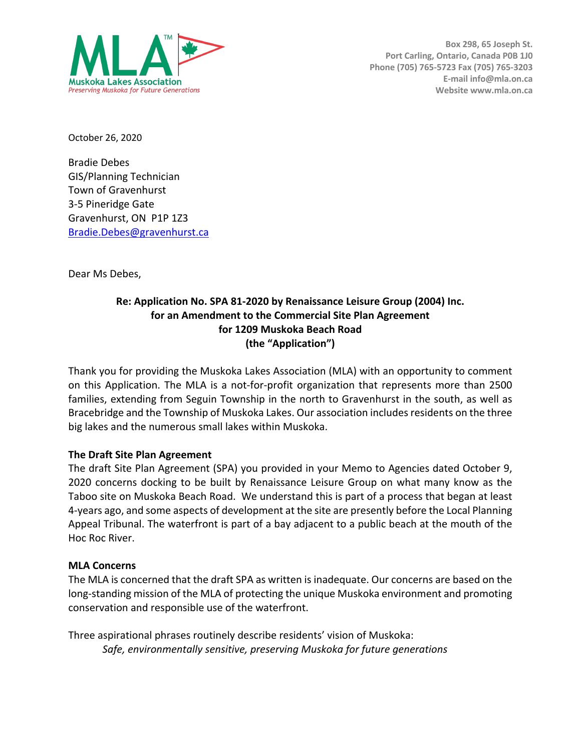

**Box 298, 65 Joseph St. Port Carling, Ontario, Canada P0B 1J0 Phone (705) 765-5723 Fax (705) 765-3203 E-mail info@mla.on.ca Website www.mla.on.ca**

October 26, 2020

Bradie Debes GIS/Planning Technician Town of Gravenhurst 3-5 Pineridge Gate Gravenhurst, ON P1P 1Z3 Bradie.Debes@gravenhurst.ca

Dear Ms Debes,

## **Re: Application No. SPA 81-2020 by Renaissance Leisure Group (2004) Inc. for an Amendment to the Commercial Site Plan Agreement for 1209 Muskoka Beach Road (the "Application")**

Thank you for providing the Muskoka Lakes Association (MLA) with an opportunity to comment on this Application. The MLA is a not-for-profit organization that represents more than 2500 families, extending from Seguin Township in the north to Gravenhurst in the south, as well as Bracebridge and the Township of Muskoka Lakes. Our association includes residents on the three big lakes and the numerous small lakes within Muskoka.

## **The Draft Site Plan Agreement**

The draft Site Plan Agreement (SPA) you provided in your Memo to Agencies dated October 9, 2020 concerns docking to be built by Renaissance Leisure Group on what many know as the Taboo site on Muskoka Beach Road. We understand this is part of a process that began at least 4-years ago, and some aspects of development at the site are presently before the Local Planning Appeal Tribunal. The waterfront is part of a bay adjacent to a public beach at the mouth of the Hoc Roc River.

## **MLA Concerns**

The MLA is concerned that the draft SPA as written is inadequate. Our concerns are based on the long-standing mission of the MLA of protecting the unique Muskoka environment and promoting conservation and responsible use of the waterfront.

Three aspirational phrases routinely describe residents' vision of Muskoka: *Safe, environmentally sensitive, preserving Muskoka for future generations*